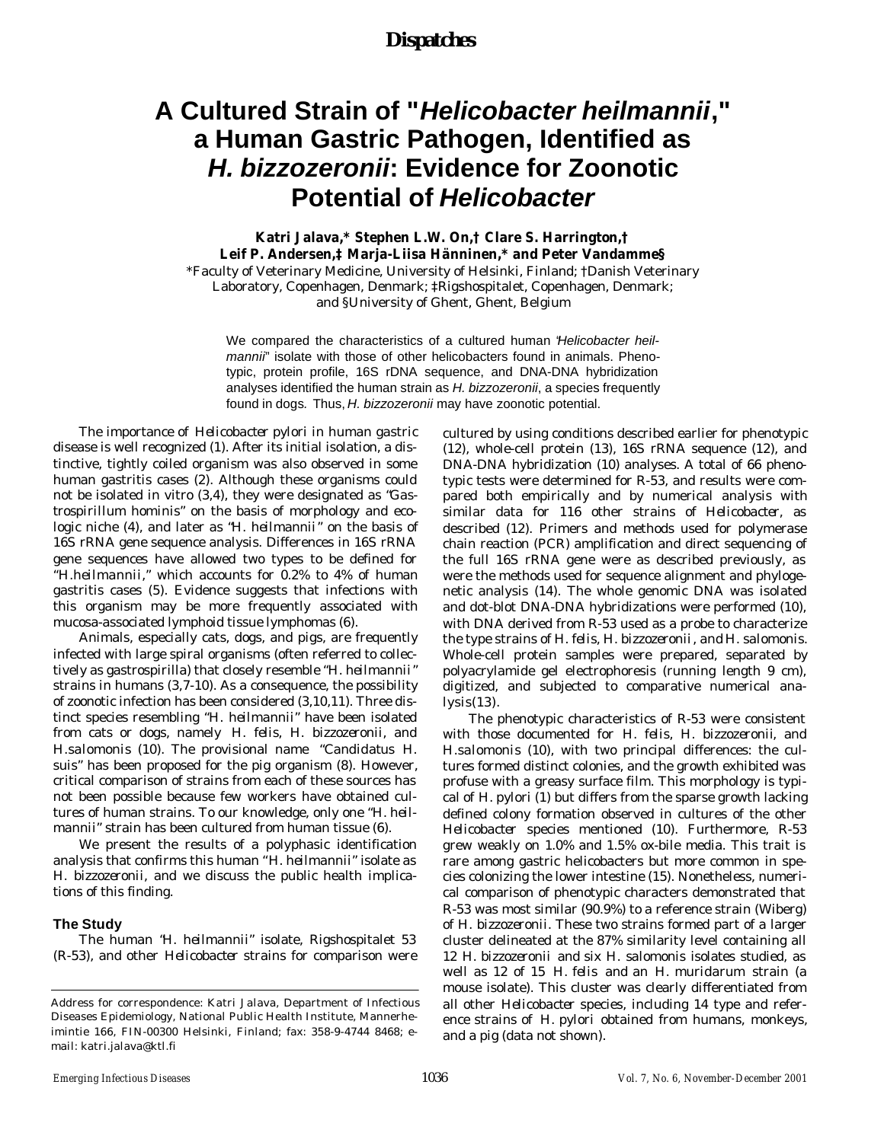### *Dispatches*

# **A Cultured Strain of "***Helicobacter heilmannii***," a Human Gastric Pathogen, Identified as**  *H. bizzozeronii***: Evidence for Zoonotic Potential of** *Helicobacter*

### **Katri Jalava,\* Stephen L.W. On,† Clare S. Harrington,† Leif P. Andersen,‡ Marja-Liisa Hänninen,\* and Peter Vandamme§**

\*Faculty of Veterinary Medicine, University of Helsinki, Finland; †Danish Veterinary Laboratory, Copenhagen, Denmark; ‡Rigshospitalet, Copenhagen, Denmark; and §University of Ghent, Ghent, Belgium

We compared the characteristics of a cultured human "*Helicobacter heilmannii*" isolate with those of other helicobacters found in animals. Phenotypic, protein profile, 16S rDNA sequence, and DNA-DNA hybridization analyses identified the human strain as *H. bizzozeronii*, a species frequently found in dogs*.* Thus, *H. bizzozeronii* may have zoonotic potential.

The importance of *Helicobacter pylori* in human gastric disease is well recognized (1). After its initial isolation, a distinctive, tightly coiled organism was also observed in some human gastritis cases (2). Although these organisms could not be isolated in vitro (3,4), they were designated as "*Gastrospirillum hominis*" on the basis of morphology and ecologic niche (4), and later as "*H. heilmannii*" on the basis of 16S rRNA gene sequence analysis. Differences in 16S rRNA gene sequences have allowed two types to be defined for *"H.heilmannii*," which accounts for 0.2% to 4% of human gastritis cases (5). Evidence suggests that infections with this organism may be more frequently associated with mucosa-associated lymphoid tissue lymphomas (6).

Animals, especially cats, dogs, and pigs, are frequently infected with large spiral organisms (often referred to collectively as gastrospirilla) that closely resemble "*H. heilmannii*" strains in humans (3,7-10). As a consequence, the possibility of zoonotic infection has been considered (3,10,11). Three distinct species resembling "*H. heilmannii*" have been isolated from cats or dogs, namely *H. felis, H. bizzozeronii,* and *H.salomonis* (10). The provisional name *"Candidatus* H. suis" has been proposed for the pig organism (8). However, critical comparison of strains from each of these sources has not been possible because few workers have obtained cultures of human strains. To our knowledge, only one "*H. heilmannii*" strain has been cultured from human tissue (6).

We present the results of a polyphasic identification analysis that confirms this human "*H. heilmannii*" isolate as *H. bizzozeronii*, and we discuss the public health implications of this finding.

#### **The Study**

The human "*H. heilmannii*" isolate, Rigshospitalet 53 (R-53), and other *Helicobacter* strains for comparison were cultured by using conditions described earlier for phenotypic (12), whole-cell protein (13), 16S rRNA sequence (12), and DNA-DNA hybridization (10) analyses. A total of 66 phenotypic tests were determined for R-53, and results were compared both empirically and by numerical analysis with similar data for 116 other strains of *Helicobacter*, as described (12). Primers and methods used for polymerase chain reaction (PCR) amplification and direct sequencing of the full 16S rRNA gene were as described previously, as were the methods used for sequence alignment and phylogenetic analysis (14). The whole genomic DNA was isolated and dot-blot DNA-DNA hybridizations were performed (10), with DNA derived from R-53 used as a probe to characterize the type strains of *H. felis, H. bizzozeronii*, and *H. salomonis.* Whole-cell protein samples were prepared, separated by polyacrylamide gel electrophoresis (running length 9 cm), digitized, and subjected to comparative numerical ana $lysis(13)$ .

The phenotypic characteristics of R-53 were consistent with those documented for *H. felis, H. bizzozeronii*, and *H.salomonis* (10), with two principal differences: the cultures formed distinct colonies, and the growth exhibited was profuse with a greasy surface film. This morphology is typical of *H. pylori* (1) but differs from the sparse growth lacking defined colony formation observed in cultures of the other *Helicobacter* species mentioned (10). Furthermore, R-53 grew weakly on 1.0% and 1.5% ox-bile media. This trait is rare among gastric helicobacters but more common in species colonizing the lower intestine (15). Nonetheless, numerical comparison of phenotypic characters demonstrated that R-53 was most similar (90.9%) to a reference strain (Wiberg) of *H. bizzozeronii*. These two strains formed part of a larger cluster delineated at the 87% similarity level containing all 12 *H. bizzozeronii* and six *H. salomonis* isolates studied, as well as 12 of 15 *H. felis* and an *H. muridarum* strain (a mouse isolate). This cluster was clearly differentiated from all other *Helicobacter* species, including 14 type and reference strains of *H. pylori* obtained from humans, monkeys, and a pig (data not shown).

Address for correspondence: Katri Jalava, Department of Infectious Diseases Epidemiology, National Public Health Institute, Mannerheimintie 166, FIN-00300 Helsinki, Finland; fax: 358-9-4744 8468; email: katri.jalava@ktl.fi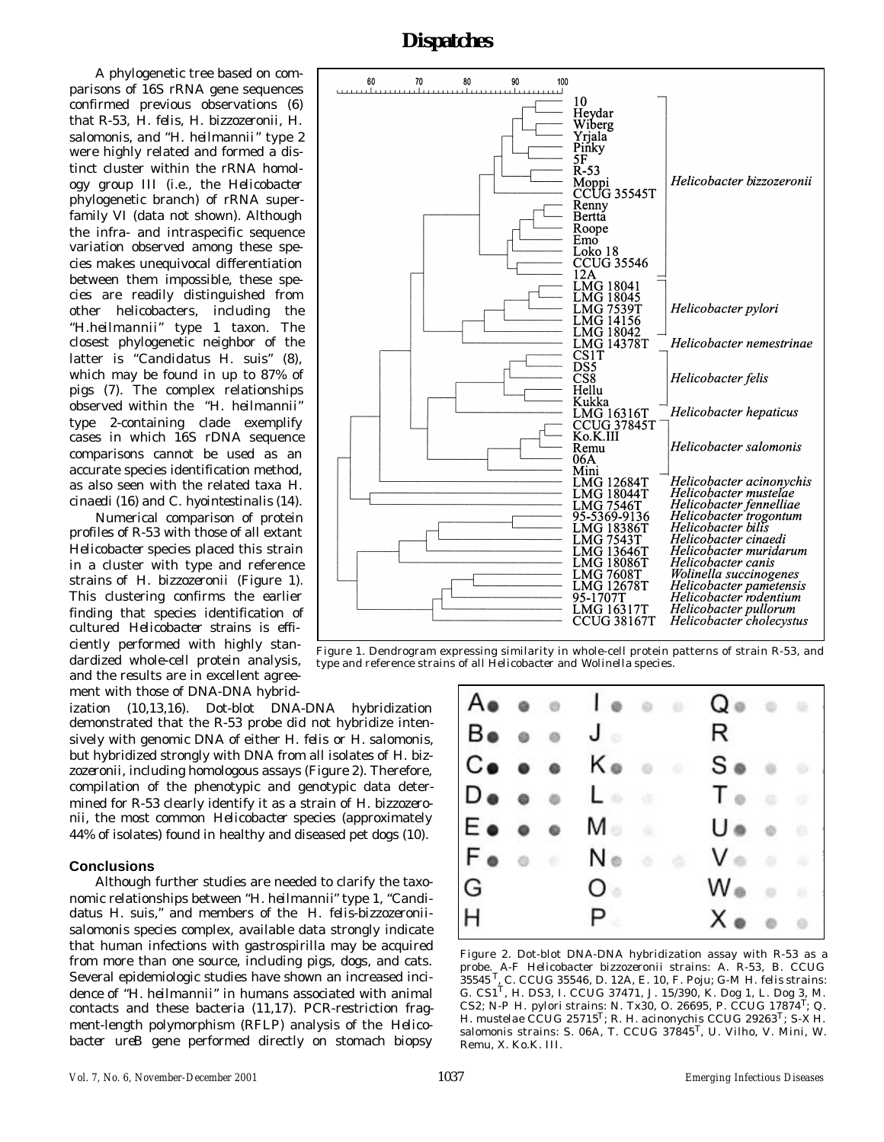### *Dispatches*

A phylogenetic tree based on comparisons of 16S rRNA gene sequences confirmed previous observations (6) that R-53, *H. felis, H. bizzozeronii, H. salomonis*, and "*H. heilmannii*" type 2 were highly related and formed a distinct cluster within the rRNA homology group III (i.e., the *Helicobacte*r phylogenetic branch) of rRNA superfamily VI (data not shown). Although the infra- and intraspecific sequence variation observed among these species makes unequivocal differentiation between them impossible, these species are readily distinguished from other helicobacters, including the *"H.heilmannii*" type 1 taxon. The closest phylogenetic neighbor of the latter is "*Candidatus* H. suis" (8), which may be found in up to 87% of pigs (7). The complex relationships observed within the *"H. heilmannii*" type 2-containing clade exemplify cases in which 16S rDNA sequence comparisons cannot be used as an accurate species identification method, as also seen with the related taxa *H. cinaedi* (16) and *C. hyointestinalis* (14).

Numerical comparison of protein profiles of R-53 with those of all extant *Helicobacter* species placed this strain in a cluster with type and reference strains of *H. bizzozeronii* (Figure 1). This clustering confirms the earlier finding that species identification of cultured *Helicobacter* strains is efficiently performed with highly standardized whole-cell protein analysis, and the results are in excellent agreement with those of DNA-DNA hybrid-

ization (10,13,16). Dot-blot DNA-DNA hybridization demonstrated that the R-53 probe did not hybridize intensively with genomic DNA of either *H. felis* or *H. salomonis*, but hybridized strongly with DNA from all isolates of *H. bizzozeronii,* including homologous assays (Figure 2). Therefore, compilation of the phenotypic and genotypic data determined for R-53 clearly identify it as a strain of *H. bizzozeronii*, the most common *Helicobacter* species (approximately 44% of isolates) found in healthy and diseased pet dogs (10).

### **Conclusions**

Although further studies are needed to clarify the taxonomic relationships between "*H. heilmannii*" type 1, "*Candidatus* H. suis," and members of the *H. felis-bizzozeroniisalomonis* species complex, available data strongly indicate that human infections with gastrospirilla may be acquired from more than one source, including pigs, dogs, and cats. Several epidemiologic studies have shown an increased incidence of *"H. heilmannii*" in humans associated with animal contacts and these bacteria (11,17). PCR-restriction fragment-length polymorphism (RFLP) analysis of the *Helicobacter ureB* gene performed directly on stomach biopsy



Figure 1. Dendrogram expressing similarity in whole-cell protein patterns of strain R-53, and type and reference strains of all *Helicobacter* and *Wolinella* species.



Figure 2. Dot-blot DNA-DNA hybridization assay with R-53 as a probe. A-F *Helicobacter bizzozeronii* strains: A. R-53, B. CCUG 35545 <sup>T</sup>, C. CCUG 35546, D. 12A, E. 10, F. Poju; G-M *H. felis* strains: G. CS1T, H. DS3, I. CCUG 37471, J. 15/390, K. Dog 1, L. Dog 3, M. CS2; N-P *H. pylori* strains: N. Tx30, O. 26695, P. CCUG 17874T; Q. *H. mustelae* CCUG 25715T; R. *H. acinonychis* CCUG 29263T; S-X *H. salomonis* strains: S. 06A, T. CCUG 37845T, U. Vilho, V. Mini, W. Remu, X. Ko.K. III.